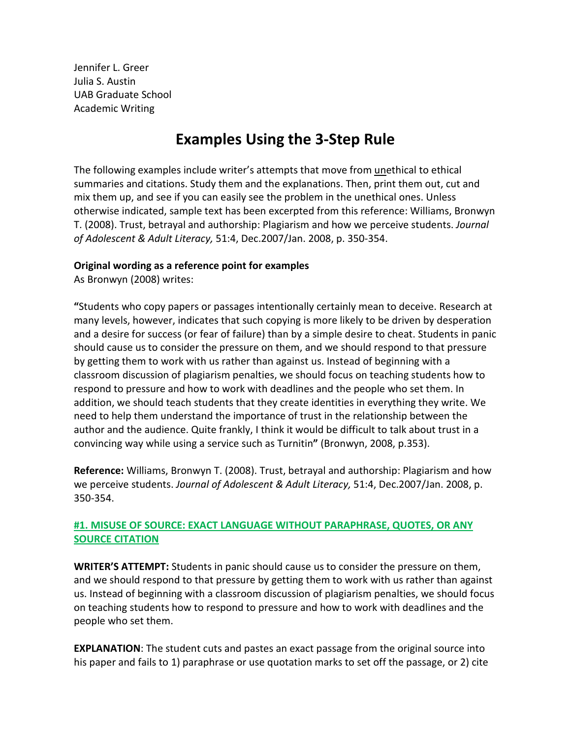Jennifer L. Greer Julia S. Austin UAB Graduate School Academic Writing

# **Examples Using the 3-Step Rule**

The following examples include writer's attempts that move from unethical to ethical summaries and citations. Study them and the explanations. Then, print them out, cut and mix them up, and see if you can easily see the problem in the unethical ones. Unless otherwise indicated, sample text has been excerpted from this reference: Williams, Bronwyn T. (2008). Trust, betrayal and authorship: Plagiarism and how we perceive students. *Journal of Adolescent & Adult Literacy,* 51:4, Dec.2007/Jan. 2008, p. 350-354.

#### **Original wording as a reference point for examples**

As Bronwyn (2008) writes:

**"**Students who copy papers or passages intentionally certainly mean to deceive. Research at many levels, however, indicates that such copying is more likely to be driven by desperation and a desire for success (or fear of failure) than by a simple desire to cheat. Students in panic should cause us to consider the pressure on them, and we should respond to that pressure by getting them to work with us rather than against us. Instead of beginning with a classroom discussion of plagiarism penalties, we should focus on teaching students how to respond to pressure and how to work with deadlines and the people who set them. In addition, we should teach students that they create identities in everything they write. We need to help them understand the importance of trust in the relationship between the author and the audience. Quite frankly, I think it would be difficult to talk about trust in a convincing way while using a service such as Turnitin**"** (Bronwyn, 2008, p.353).

**Reference:** Williams, Bronwyn T. (2008). Trust, betrayal and authorship: Plagiarism and how we perceive students. *Journal of Adolescent & Adult Literacy,* 51:4, Dec.2007/Jan. 2008, p. 350-354.

# **#1. MISUSE OF SOURCE: EXACT LANGUAGE WITHOUT PARAPHRASE, QUOTES, OR ANY SOURCE CITATION**

**WRITER'S ATTEMPT:** Students in panic should cause us to consider the pressure on them, and we should respond to that pressure by getting them to work with us rather than against us. Instead of beginning with a classroom discussion of plagiarism penalties, we should focus on teaching students how to respond to pressure and how to work with deadlines and the people who set them.

**EXPLANATION**: The student cuts and pastes an exact passage from the original source into his paper and fails to 1) paraphrase or use quotation marks to set off the passage, or 2) cite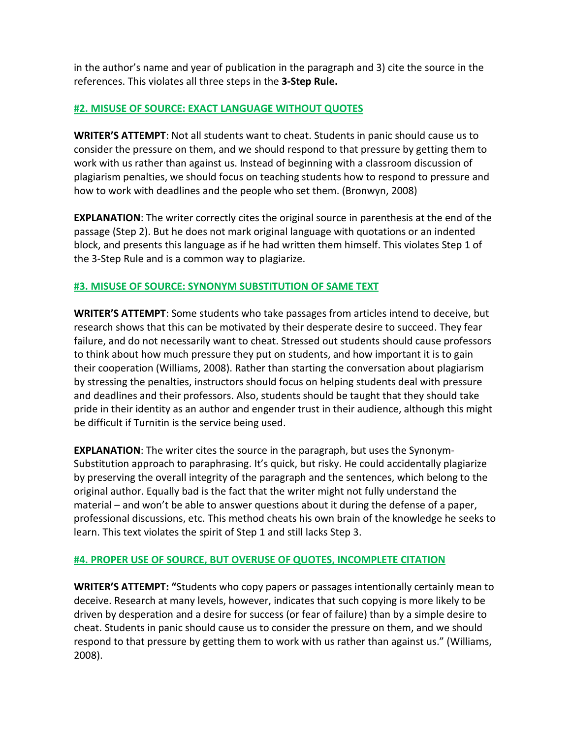in the author's name and year of publication in the paragraph and 3) cite the source in the references. This violates all three steps in the **3-Step Rule.**

#### **#2. MISUSE OF SOURCE: EXACT LANGUAGE WITHOUT QUOTES**

**WRITER'S ATTEMPT**: Not all students want to cheat. Students in panic should cause us to consider the pressure on them, and we should respond to that pressure by getting them to work with us rather than against us. Instead of beginning with a classroom discussion of plagiarism penalties, we should focus on teaching students how to respond to pressure and how to work with deadlines and the people who set them. (Bronwyn, 2008)

**EXPLANATION**: The writer correctly cites the original source in parenthesis at the end of the passage (Step 2). But he does not mark original language with quotations or an indented block, and presents this language as if he had written them himself. This violates Step 1 of the 3-Step Rule and is a common way to plagiarize.

#### **#3. MISUSE OF SOURCE: SYNONYM SUBSTITUTION OF SAME TEXT**

**WRITER'S ATTEMPT**: Some students who take passages from articles intend to deceive, but research shows that this can be motivated by their desperate desire to succeed. They fear failure, and do not necessarily want to cheat. Stressed out students should cause professors to think about how much pressure they put on students, and how important it is to gain their cooperation (Williams, 2008). Rather than starting the conversation about plagiarism by stressing the penalties, instructors should focus on helping students deal with pressure and deadlines and their professors. Also, students should be taught that they should take pride in their identity as an author and engender trust in their audience, although this might be difficult if Turnitin is the service being used.

**EXPLANATION**: The writer cites the source in the paragraph, but uses the Synonym-Substitution approach to paraphrasing. It's quick, but risky. He could accidentally plagiarize by preserving the overall integrity of the paragraph and the sentences, which belong to the original author. Equally bad is the fact that the writer might not fully understand the material – and won't be able to answer questions about it during the defense of a paper, professional discussions, etc. This method cheats his own brain of the knowledge he seeks to learn. This text violates the spirit of Step 1 and still lacks Step 3.

## **#4. PROPER USE OF SOURCE, BUT OVERUSE OF QUOTES, INCOMPLETE CITATION**

**WRITER'S ATTEMPT: "**Students who copy papers or passages intentionally certainly mean to deceive. Research at many levels, however, indicates that such copying is more likely to be driven by desperation and a desire for success (or fear of failure) than by a simple desire to cheat. Students in panic should cause us to consider the pressure on them, and we should respond to that pressure by getting them to work with us rather than against us." (Williams, 2008).